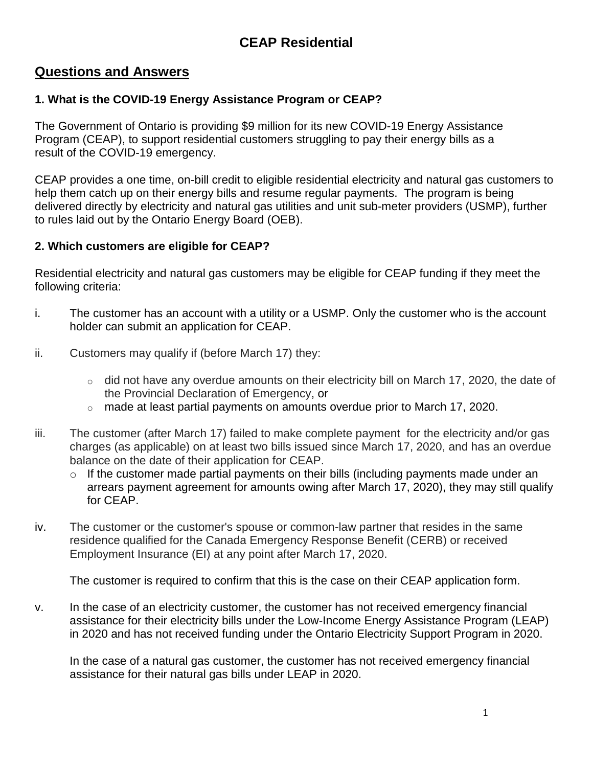# **CEAP Residential**

## **Questions and Answers**

### **1. What is the COVID-19 Energy Assistance Program or CEAP?**

The Government of Ontario is providing \$9 million for its new COVID-19 Energy Assistance Program (CEAP), to support residential customers struggling to pay their energy bills as a result of the COVID-19 emergency.

CEAP provides a one time, on-bill credit to eligible residential electricity and natural gas customers to help them catch up on their energy bills and resume regular payments. The program is being delivered directly by electricity and natural gas utilities and unit sub-meter providers (USMP), further to rules laid out by the Ontario Energy Board (OEB).

#### **2. Which customers are eligible for CEAP?**

Residential electricity and natural gas customers may be eligible for CEAP funding if they meet the following criteria:

- i. The customer has an account with a utility or a USMP. Only the customer who is the account holder can submit an application for CEAP.
- ii. Customers may qualify if (before March 17) they:
	- $\circ$  did not have any overdue amounts on their electricity bill on March 17, 2020, the date of the Provincial Declaration of Emergency, or
	- $\circ$  made at least partial payments on amounts overdue prior to March 17, 2020.
- iii. The customer (after March 17) failed to make complete payment for the electricity and/or gas charges (as applicable) on at least two bills issued since March 17, 2020, and has an overdue balance on the date of their application for CEAP.
	- o If the customer made partial payments on their bills (including payments made under an arrears payment agreement for amounts owing after March 17, 2020), they may still qualify for CEAP.
- iv. The customer or the customer's spouse or common-law partner that resides in the same residence qualified for the Canada Emergency Response Benefit (CERB) or received Employment Insurance (EI) at any point after March 17, 2020.

The customer is required to confirm that this is the case on their CEAP application form.

v. In the case of an electricity customer, the customer has not received emergency financial assistance for their electricity bills under the Low-Income Energy Assistance Program (LEAP) in 2020 and has not received funding under the Ontario Electricity Support Program in 2020.

In the case of a natural gas customer, the customer has not received emergency financial assistance for their natural gas bills under LEAP in 2020.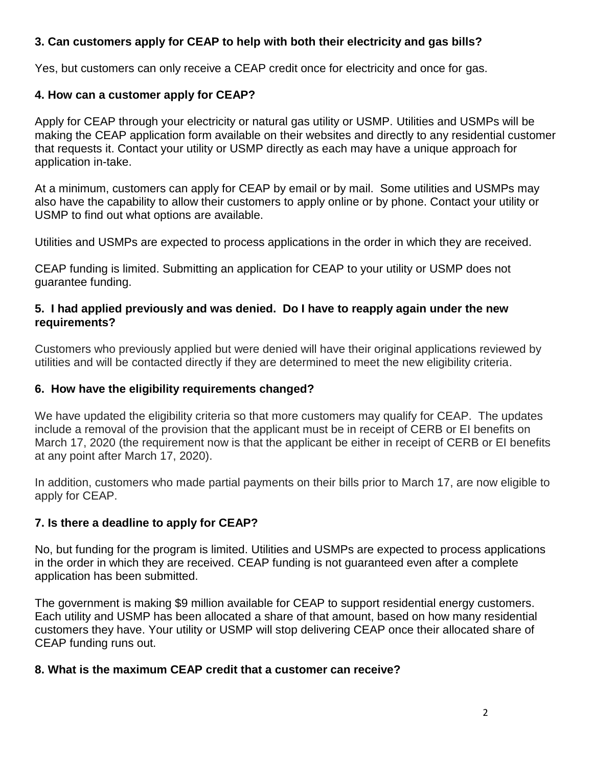## **3. Can customers apply for CEAP to help with both their electricity and gas bills?**

Yes, but customers can only receive a CEAP credit once for electricity and once for gas.

#### **4. How can a customer apply for CEAP?**

Apply for CEAP through your electricity or natural gas utility or USMP. Utilities and USMPs will be making the CEAP application form available on their websites and directly to any residential customer that requests it. Contact your utility or USMP directly as each may have a unique approach for application in-take.

At a minimum, customers can apply for CEAP by email or by mail. Some utilities and USMPs may also have the capability to allow their customers to apply online or by phone. Contact your utility or USMP to find out what options are available.

Utilities and USMPs are expected to process applications in the order in which they are received.

CEAP funding is limited. Submitting an application for CEAP to your utility or USMP does not guarantee funding.

#### **5. I had applied previously and was denied. Do I have to reapply again under the new requirements?**

Customers who previously applied but were denied will have their original applications reviewed by utilities and will be contacted directly if they are determined to meet the new eligibility criteria.

#### **6. How have the eligibility requirements changed?**

We have updated the eligibility criteria so that more customers may qualify for CEAP. The updates include a removal of the provision that the applicant must be in receipt of CERB or EI benefits on March 17, 2020 (the requirement now is that the applicant be either in receipt of CERB or EI benefits at any point after March 17, 2020).

In addition, customers who made partial payments on their bills prior to March 17, are now eligible to apply for CEAP.

#### **7. Is there a deadline to apply for CEAP?**

No, but funding for the program is limited. Utilities and USMPs are expected to process applications in the order in which they are received. CEAP funding is not guaranteed even after a complete application has been submitted.

The government is making \$9 million available for CEAP to support residential energy customers. Each utility and USMP has been allocated a share of that amount, based on how many residential customers they have. Your utility or USMP will stop delivering CEAP once their allocated share of CEAP funding runs out.

#### **8. What is the maximum CEAP credit that a customer can receive?**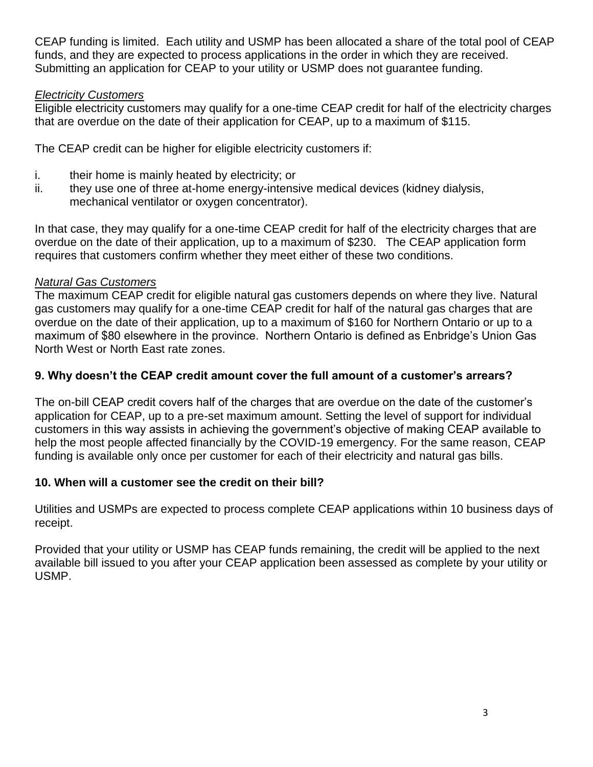CEAP funding is limited. Each utility and USMP has been allocated a share of the total pool of CEAP funds, and they are expected to process applications in the order in which they are received. Submitting an application for CEAP to your utility or USMP does not guarantee funding.

#### *Electricity Customers*

Eligible electricity customers may qualify for a one-time CEAP credit for half of the electricity charges that are overdue on the date of their application for CEAP, up to a maximum of \$115.

The CEAP credit can be higher for eligible electricity customers if:

- i. their home is mainly heated by electricity; or
- ii. they use one of three at-home energy-intensive medical devices (kidney dialysis, mechanical ventilator or oxygen concentrator).

In that case, they may qualify for a one-time CEAP credit for half of the electricity charges that are overdue on the date of their application, up to a maximum of \$230. The CEAP application form requires that customers confirm whether they meet either of these two conditions.

### *Natural Gas Customers*

The maximum CEAP credit for eligible natural gas customers depends on where they live. Natural gas customers may qualify for a one-time CEAP credit for half of the natural gas charges that are overdue on the date of their application, up to a maximum of \$160 for Northern Ontario or up to a maximum of \$80 elsewhere in the province. Northern Ontario is defined as Enbridge's Union Gas North West or North East rate zones.

### **9. Why doesn't the CEAP credit amount cover the full amount of a customer's arrears?**

The on-bill CEAP credit covers half of the charges that are overdue on the date of the customer's application for CEAP, up to a pre-set maximum amount. Setting the level of support for individual customers in this way assists in achieving the government's objective of making CEAP available to help the most people affected financially by the COVID-19 emergency. For the same reason, CEAP funding is available only once per customer for each of their electricity and natural gas bills.

## **10. When will a customer see the credit on their bill?**

Utilities and USMPs are expected to process complete CEAP applications within 10 business days of receipt.

Provided that your utility or USMP has CEAP funds remaining, the credit will be applied to the next available bill issued to you after your CEAP application been assessed as complete by your utility or USMP.